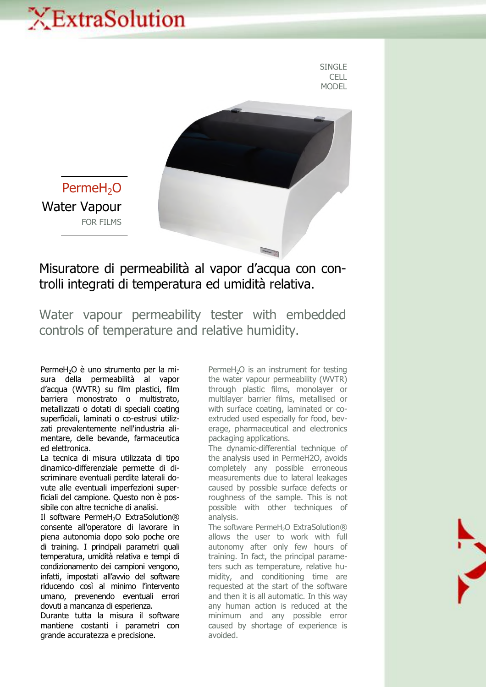## XExtraSolution

SINGLE **CELL** MODEL



PermeH<sub>2</sub>O Water Vapour FOR FILMS

## Misuratore di permeabilità al vapor d'acqua con controlli integrati di temperatura ed umidità relativa.

Water vapour permeability tester with embedded controls of temperature and relative humidity.

PermeH<sub>2</sub>O è uno strumento per la misura della permeabilità al vapor d'acqua (WVTR) su film plastici, film barriera monostrato o multistrato, metallizzati o dotati di speciali coating superficiali, laminati o co-estrusi utilizzati prevalentemente nell'industria alimentare, delle bevande, farmaceutica ed elettronica.

La tecnica di misura utilizzata di tipo dinamico-differenziale permette di discriminare eventuali perdite laterali dovute alle eventuali imperfezioni superficiali del campione. Questo non è possibile con altre tecniche di analisi.

Il software PermeH<sub>2</sub>O ExtraSolution® consente all'operatore di lavorare in piena autonomia dopo solo poche ore di training. I principali parametri quali temperatura, umidità relativa e tempi di condizionamento dei campioni vengono, infatti, impostati all'avvio del software riducendo così al minimo l'intervento umano, prevenendo eventuali errori dovuti a mancanza di esperienza.

Durante tutta la misura il software mantiene costanti i parametri con grande accuratezza e precisione.

PermeH<sub>2</sub>O is an instrument for testing the water vapour permeability (WVTR) through plastic films, monolayer or multilayer barrier films, metallised or with surface coating, laminated or coextruded used especially for food, beverage, pharmaceutical and electronics packaging applications.

The dynamic-differential technique of the analysis used in PermeH2O, avoids completely any possible erroneous measurements due to lateral leakages caused by possible surface defects or roughness of the sample. This is not possible with other techniques of analysis.

The software PermeH<sub>2</sub>O ExtraSolution® allows the user to work with full autonomy after only few hours of training. In fact, the principal parameters such as temperature, relative humidity, and conditioning time are requested at the start of the software and then it is all automatic. In this way any human action is reduced at the minimum and any possible error caused by shortage of experience is avoided.